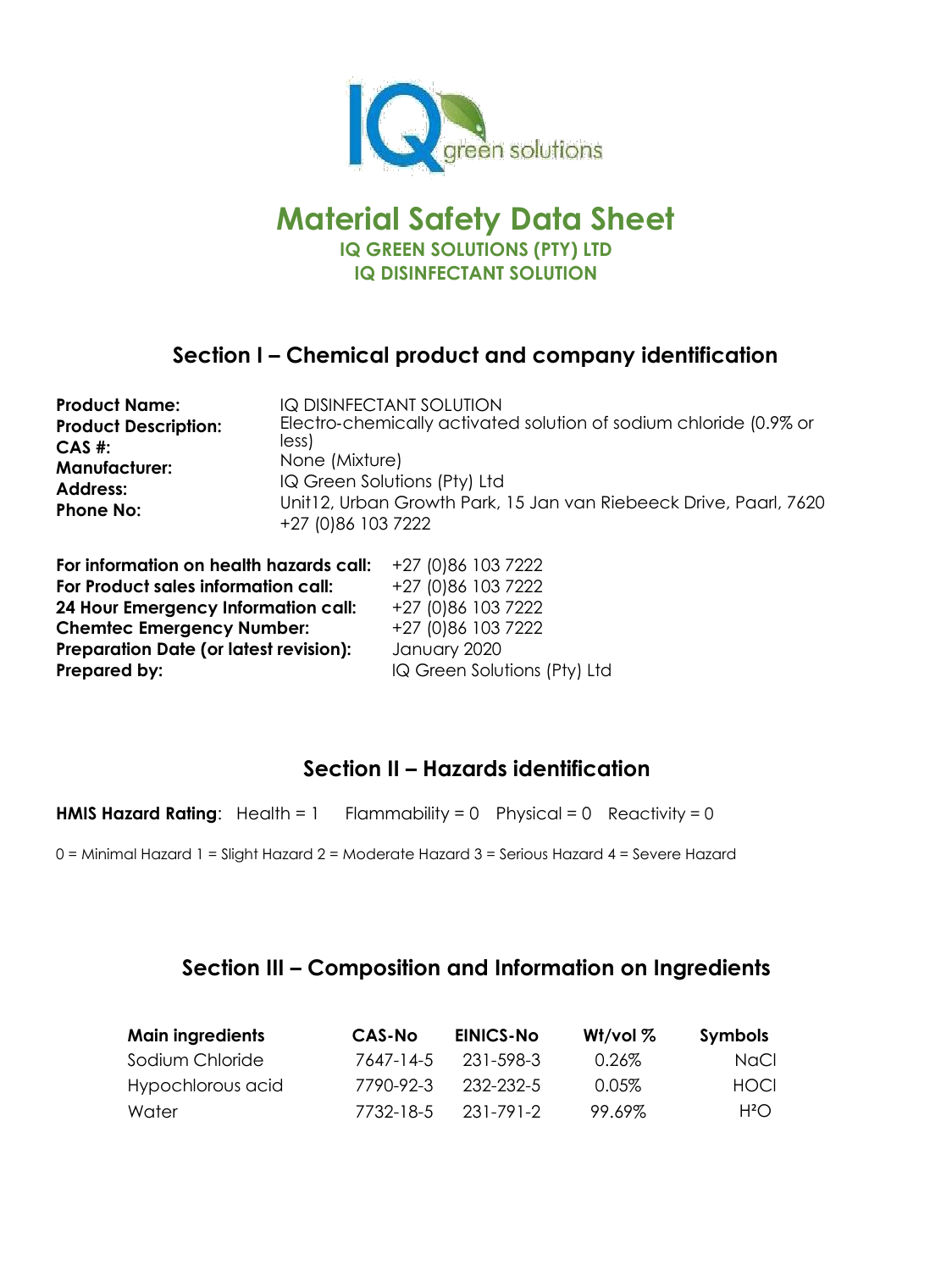

# **Material Safety Data Sheet IQ GREEN SOLUTIONS (PTY) LTD IQ DISINFECTANT SOLUTION**

## **Section I – Chemical product and company identification**

| <b>Product Name:</b><br><b>Product Description:</b><br>$CAS$ #:<br><b>Manufacturer:</b><br><b>Address:</b> | IQ DISINFECTANT SOLUTION<br>Electro-chemically activated solution of sodium chloride (0.9% or<br>less)<br>None (Mixture)<br>IQ Green Solutions (Pty) Ltd<br>Unit12, Urban Growth Park, 15 Jan van Riebeeck Drive, Paarl, 7620 |                    |  |
|------------------------------------------------------------------------------------------------------------|-------------------------------------------------------------------------------------------------------------------------------------------------------------------------------------------------------------------------------|--------------------|--|
| <b>Phone No:</b>                                                                                           | +27 (0)86 103 7222                                                                                                                                                                                                            |                    |  |
| For information on health hazards call:                                                                    |                                                                                                                                                                                                                               | +27 (0)86 103 7222 |  |
| For Product sales information call:                                                                        |                                                                                                                                                                                                                               | +27 (0)86 103 7222 |  |
| 24 Hour Emergency Information call:                                                                        |                                                                                                                                                                                                                               | +27 (0)86 103 7222 |  |

**Chemtec Emergency Number:** +27 (0)86 103 7222 **Preparation Date (or latest revision):** January 2020 **Prepared by:** IQ Green Solutions (Pty) Ltd

# **Section II – Hazards identification**

**HMIS Hazard Rating:** Health = 1 Flammability = 0 Physical = 0 Reactivity = 0

0 = Minimal Hazard 1 = Slight Hazard 2 = Moderate Hazard 3 = Serious Hazard 4 = Severe Hazard

## **Section III – Composition and Information on Ingredients**

| <b>Main ingredients</b> | <b>CAS-No</b> | <b>EINICS-No</b> | W <sub>1</sub> /vol $%$ | <b>Symbols</b> |
|-------------------------|---------------|------------------|-------------------------|----------------|
| Sodium Chloride         | 7647-14-5     | -231-598-3       | 0.26%                   | NaCl           |
| Hypochlorous acid       | 7790-92-3     | -232-232-5       | 0.05%                   | HOCL           |
| Water                   | 7732-18-5     | 231-791-2        | 99.69%                  | $H^2O$         |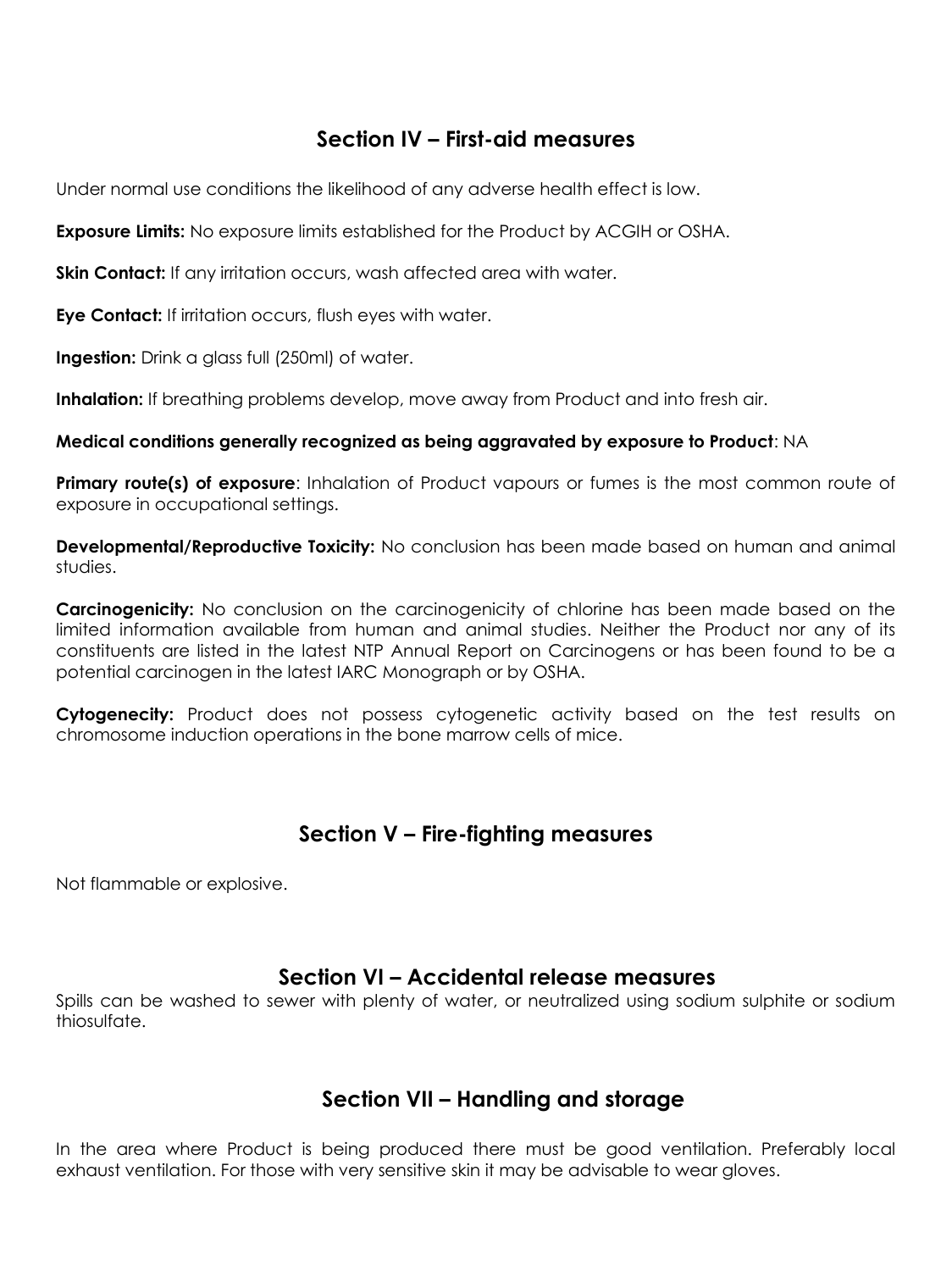### **Section IV – First-aid measures**

Under normal use conditions the likelihood of any adverse health effect is low.

**Exposure Limits:** No exposure limits established for the Product by ACGIH or OSHA.

**Skin Contact:** If any irritation occurs, wash affected area with water.

**Eye Contact:** If irritation occurs, flush eyes with water.

**Ingestion:** Drink a glass full (250ml) of water.

**Inhalation:** If breathing problems develop, move away from Product and into fresh air.

#### **Medical conditions generally recognized as being aggravated by exposure to Product**: NA

**Primary route(s) of exposure**: Inhalation of Product vapours or fumes is the most common route of exposure in occupational settings.

**Developmental/Reproductive Toxicity:** No conclusion has been made based on human and animal studies.

**Carcinogenicity:** No conclusion on the carcinogenicity of chlorine has been made based on the limited information available from human and animal studies. Neither the Product nor any of its constituents are listed in the latest NTP Annual Report on Carcinogens or has been found to be a potential carcinogen in the latest IARC Monograph or by OSHA.

**Cytogenecity:** Product does not possess cytogenetic activity based on the test results on chromosome induction operations in the bone marrow cells of mice.

### **Section V – Fire-fighting measures**

Not flammable or explosive.

### **Section VI – Accidental release measures**

Spills can be washed to sewer with plenty of water, or neutralized using sodium sulphite or sodium thiosulfate.

## **Section VII – Handling and storage**

In the area where Product is being produced there must be good ventilation. Preferably local exhaust ventilation. For those with very sensitive skin it may be advisable to wear gloves.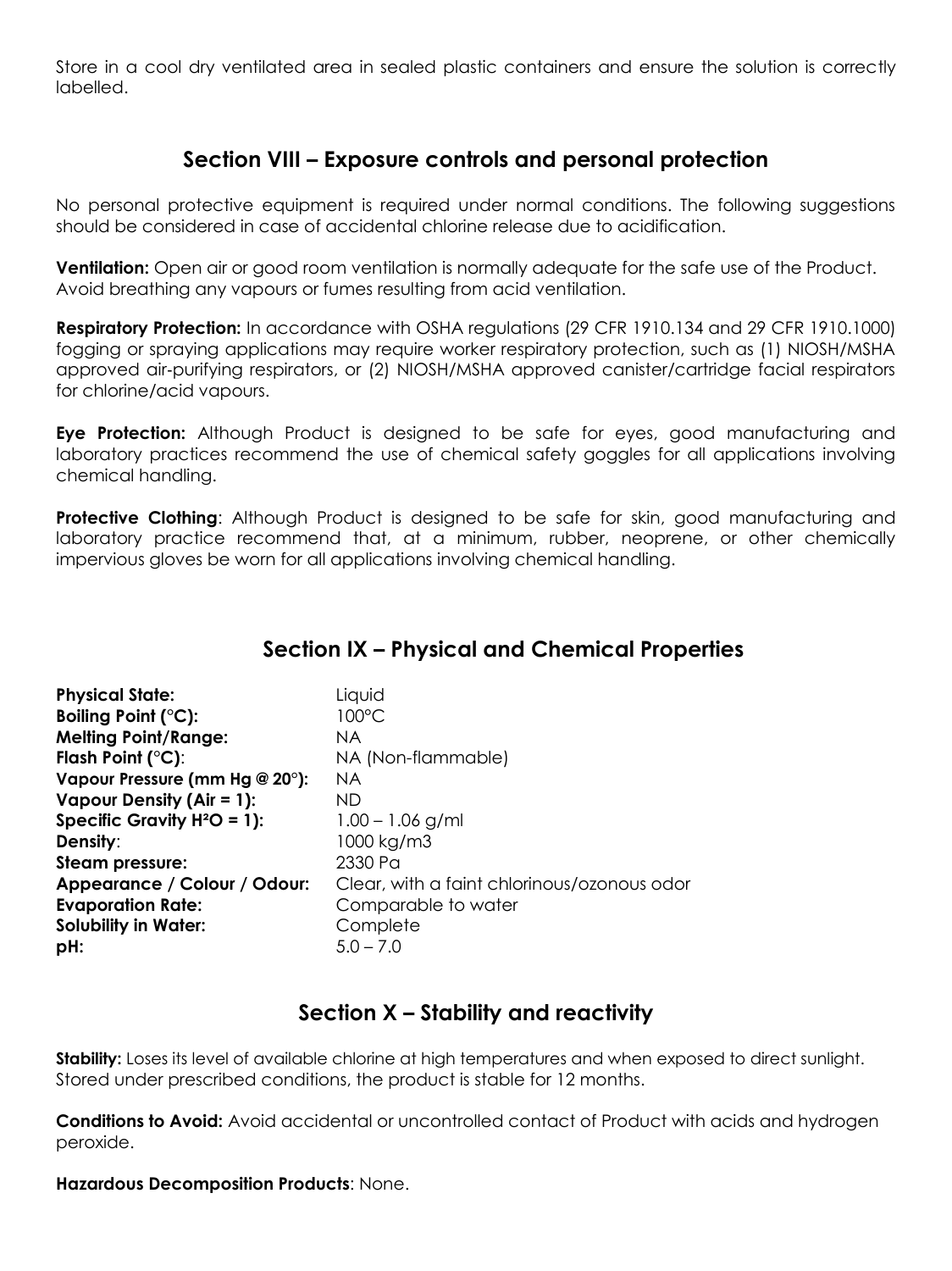Store in a cool dry ventilated area in sealed plastic containers and ensure the solution is correctly labelled.

### **Section VIII – Exposure controls and personal protection**

No personal protective equipment is required under normal conditions. The following suggestions should be considered in case of accidental chlorine release due to acidification.

**Ventilation:** Open air or good room ventilation is normally adequate for the safe use of the Product. Avoid breathing any vapours or fumes resulting from acid ventilation.

**Respiratory Protection:** In accordance with OSHA regulations (29 CFR 1910.134 and 29 CFR 1910.1000) fogging or spraying applications may require worker respiratory protection, such as (1) NIOSH/MSHA approved air‐purifying respirators, or (2) NIOSH/MSHA approved canister/cartridge facial respirators for chlorine/acid vapours.

**Eye Protection:** Although Product is designed to be safe for eyes, good manufacturing and laboratory practices recommend the use of chemical safety goggles for all applications involving chemical handling.

**Protective Clothing:** Although Product is designed to be safe for skin, good manufacturing and laboratory practice recommend that, at a minimum, rubber, neoprene, or other chemically impervious gloves be worn for all applications involving chemical handling.

## **Section IX – Physical and Chemical Properties**

| <b>Physical State:</b><br>Boiling Point (°C):<br><b>Melting Point/Range:</b><br>Flash Point $(^{\circ}C)$ : | Liquid<br>100°C<br>NA.<br>NA (Non-flammable) |
|-------------------------------------------------------------------------------------------------------------|----------------------------------------------|
| Vapour Pressure (mm Hg @ 20°):                                                                              | <b>NA</b>                                    |
| Vapour Density (Air = 1):                                                                                   | ND.                                          |
| Specific Gravity $H^2O = 1$ ):                                                                              | $1.00 - 1.06$ g/ml                           |
| Density:                                                                                                    | 1000 kg/m3                                   |
| <b>Steam pressure:</b>                                                                                      | 2330 Pa                                      |
| Appearance / Colour / Odour:                                                                                | Clear, with a faint chlorinous/ozonous odor  |
| <b>Evaporation Rate:</b>                                                                                    | Comparable to water                          |
| <b>Solubility in Water:</b>                                                                                 | Complete                                     |
| pH:                                                                                                         | $5.0 - 7.0$                                  |

## **Section X – Stability and reactivity**

**Stability:** Loses its level of available chlorine at high temperatures and when exposed to direct sunlight. Stored under prescribed conditions, the product is stable for 12 months.

**Conditions to Avoid:** Avoid accidental or uncontrolled contact of Product with acids and hydrogen peroxide.

**Hazardous Decomposition Products**: None.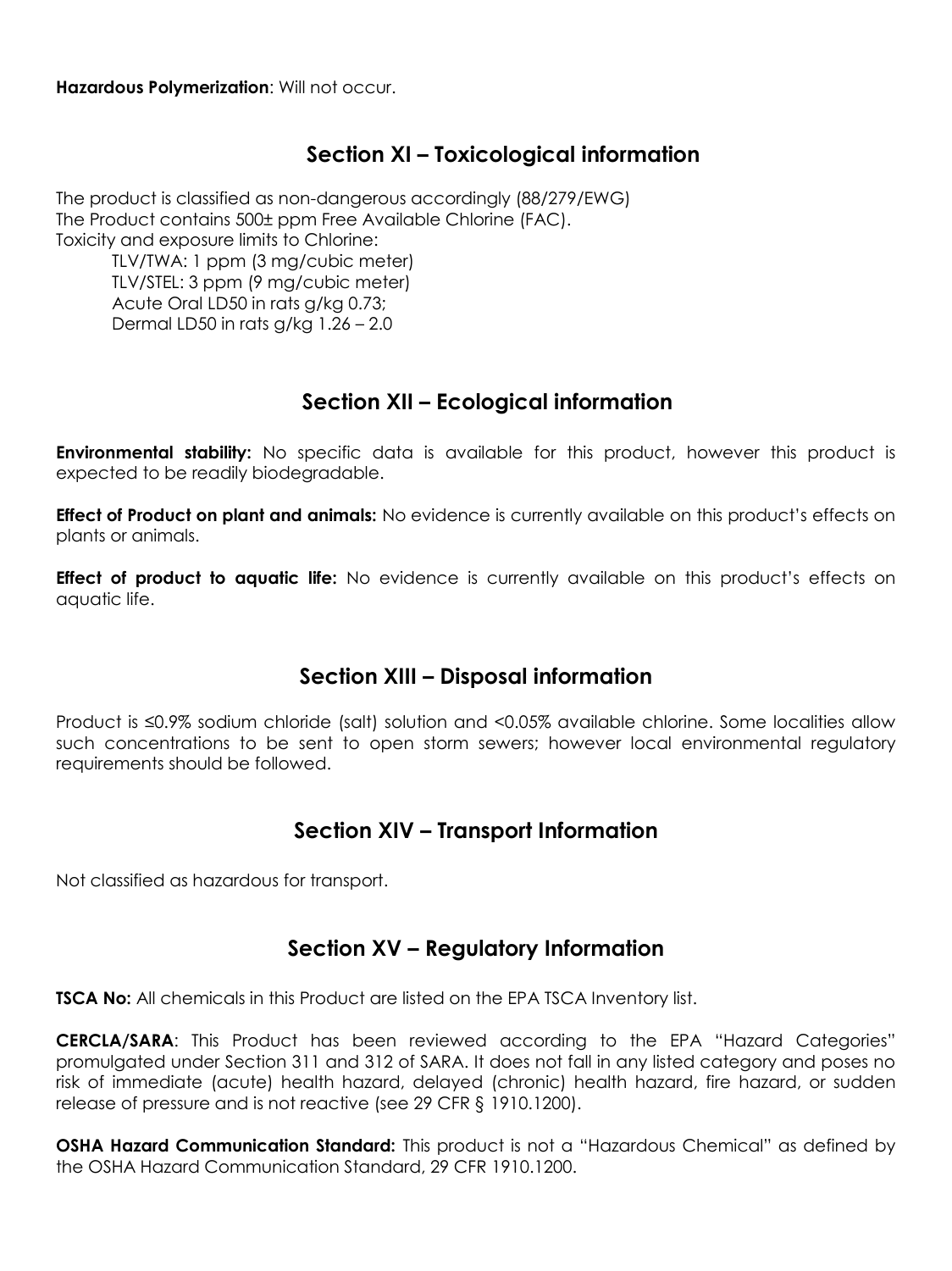#### **Hazardous Polymerization**: Will not occur.

## **Section XI – Toxicological information**

The product is classified as non-dangerous accordingly (88/279/EWG) The Product contains 500± ppm Free Available Chlorine (FAC). Toxicity and exposure limits to Chlorine:

TLV/TWA: 1 ppm (3 mg/cubic meter) TLV/STEL: 3 ppm (9 mg/cubic meter) Acute Oral LD50 in rats g/kg 0.73; Dermal LD50 in rats g/kg 1.26 – 2.0

## **Section XII – Ecological information**

**Environmental stability:** No specific data is available for this product, however this product is expected to be readily biodegradable.

**Effect of Product on plant and animals:** No evidence is currently available on this product's effects on plants or animals.

**Effect of product to aquatic life:** No evidence is currently available on this product's effects on aquatic life.

## **Section XIII – Disposal information**

Product is ≤0.9% sodium chloride (salt) solution and <0.05% available chlorine. Some localities allow such concentrations to be sent to open storm sewers; however local environmental regulatory requirements should be followed.

## **Section XIV – Transport Information**

Not classified as hazardous for transport.

### **Section XV – Regulatory Information**

**TSCA No:** All chemicals in this Product are listed on the EPA TSCA Inventory list.

**CERCLA/SARA**: This Product has been reviewed according to the EPA "Hazard Categories" promulgated under Section 311 and 312 of SARA. It does not fall in any listed category and poses no risk of immediate (acute) health hazard, delayed (chronic) health hazard, fire hazard, or sudden release of pressure and is not reactive (see 29 CFR § 1910.1200).

**OSHA Hazard Communication Standard:** This product is not a "Hazardous Chemical" as defined by the OSHA Hazard Communication Standard, 29 CFR 1910.1200.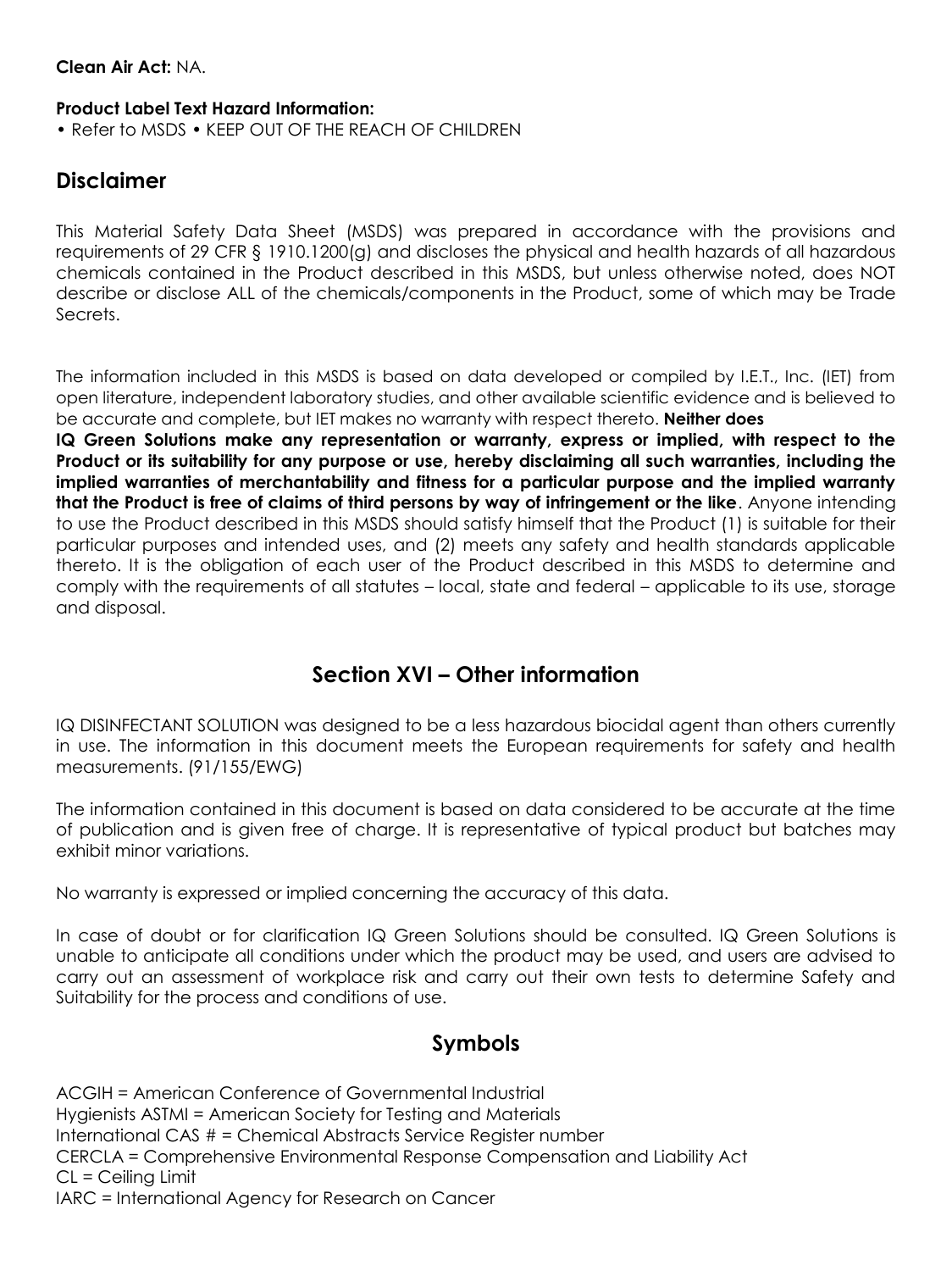#### **Clean Air Act:** NA.

#### **Product Label Text Hazard Information:**

• Refer to MSDS • KEEP OUT OF THE REACH OF CHILDREN

## **Disclaimer**

This Material Safety Data Sheet (MSDS) was prepared in accordance with the provisions and requirements of 29 CFR § 1910.1200(a) and discloses the physical and health hazards of all hazardous chemicals contained in the Product described in this MSDS, but unless otherwise noted, does NOT describe or disclose ALL of the chemicals/components in the Product, some of which may be Trade Secrets.

The information included in this MSDS is based on data developed or compiled by I.E.T., Inc. (IET) from open literature, independent laboratory studies, and other available scientific evidence and is believed to be accurate and complete, but IET makes no warranty with respect thereto. **Neither does**

**IQ Green Solutions make any representation or warranty, express or implied, with respect to the Product or its suitability for any purpose or use, hereby disclaiming all such warranties, including the implied warranties of merchantability and fitness for a particular purpose and the implied warranty that the Product is free of claims of third persons by way of infringement or the like**. Anyone intending to use the Product described in this MSDS should satisfy himself that the Product (1) is suitable for their particular purposes and intended uses, and (2) meets any safety and health standards applicable thereto. It is the obligation of each user of the Product described in this MSDS to determine and comply with the requirements of all statutes – local, state and federal – applicable to its use, storage and disposal.

## **Section XVI – Other information**

IQ DISINFECTANT SOLUTION was designed to be a less hazardous biocidal agent than others currently in use. The information in this document meets the European requirements for safety and health measurements. (91/155/EWG)

The information contained in this document is based on data considered to be accurate at the time of publication and is given free of charge. It is representative of typical product but batches may exhibit minor variations.

No warranty is expressed or implied concerning the accuracy of this data.

In case of doubt or for clarification IQ Green Solutions should be consulted. IQ Green Solutions is unable to anticipate all conditions under which the product may be used, and users are advised to carry out an assessment of workplace risk and carry out their own tests to determine Safety and Suitability for the process and conditions of use.

## **Symbols**

ACGIH = American Conference of Governmental Industrial Hygienists ASTMI = American Society for Testing and Materials International CAS # = Chemical Abstracts Service Register number CERCLA = Comprehensive Environmental Response Compensation and Liability Act CL = Ceiling Limit IARC = International Agency for Research on Cancer